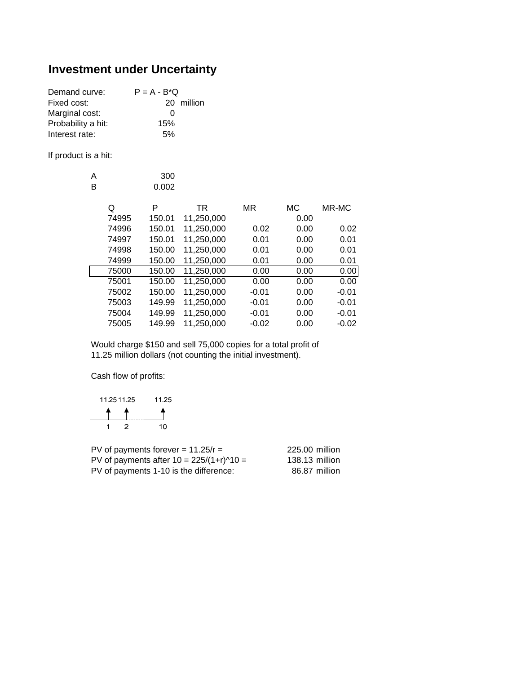## **Investment under Uncertainty**

| $P = A - B^*Q$ |            |
|----------------|------------|
|                |            |
| $\mathbf{U}$   |            |
| 15%            |            |
| .5%            |            |
|                | 20 million |

If product is a hit:

| А | 300   |
|---|-------|
| в | 0.002 |

| P | TR                                                                                              | MR                                                                                                         | МC                                                                                                                                                     | MR-MC   |
|---|-------------------------------------------------------------------------------------------------|------------------------------------------------------------------------------------------------------------|--------------------------------------------------------------------------------------------------------------------------------------------------------|---------|
|   |                                                                                                 |                                                                                                            | 0.00                                                                                                                                                   |         |
|   |                                                                                                 | 0.02                                                                                                       | 0.00                                                                                                                                                   | 0.02    |
|   |                                                                                                 | 0.01                                                                                                       | 0.00                                                                                                                                                   | 0.01    |
|   |                                                                                                 | 0.01                                                                                                       | 0.00                                                                                                                                                   | 0.01    |
|   |                                                                                                 | 0.01                                                                                                       | 0.00                                                                                                                                                   | 0.01    |
|   |                                                                                                 | 0.00                                                                                                       | 0.00                                                                                                                                                   | 0.00    |
|   |                                                                                                 | 0.00                                                                                                       | 0.00                                                                                                                                                   | 0.00    |
|   |                                                                                                 | $-0.01$                                                                                                    | 0.00                                                                                                                                                   | $-0.01$ |
|   |                                                                                                 | $-0.01$                                                                                                    | 0.00                                                                                                                                                   | $-0.01$ |
|   |                                                                                                 | $-0.01$                                                                                                    | 0.00                                                                                                                                                   | $-0.01$ |
|   |                                                                                                 | $-0.02$                                                                                                    | 0.00                                                                                                                                                   | $-0.02$ |
|   | 74995<br>74996<br>74997<br>74998<br>74999<br>75000<br>75001<br>75002<br>75003<br>75004<br>75005 | 150.01<br>150.01<br>150.01<br>150.00<br>150.00<br>150.00<br>150.00<br>150.00<br>149.99<br>149.99<br>149.99 | 11,250,000<br>11,250,000<br>11,250,000<br>11,250,000<br>11,250,000<br>11,250,000<br>11,250,000<br>11,250,000<br>11,250,000<br>11,250,000<br>11,250,000 |         |

Would charge \$150 and sell 75,000 copies for a total profit of 11.25 million dollars (not counting the initial investment).

Cash flow of profits:

| 11.25 11.25 | 11.25 |
|-------------|-------|
|             |       |
| ン           | 10    |

| PV of payments forever = $11.25/r =$         | 225.00 million |
|----------------------------------------------|----------------|
| PV of payments after $10 = 225/(1+r)^{40} =$ | 138.13 million |
| PV of payments 1-10 is the difference:       | 86.87 million  |